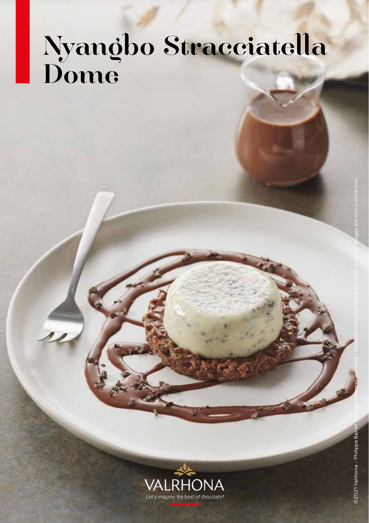# Nyangbo Stracciatella Dome